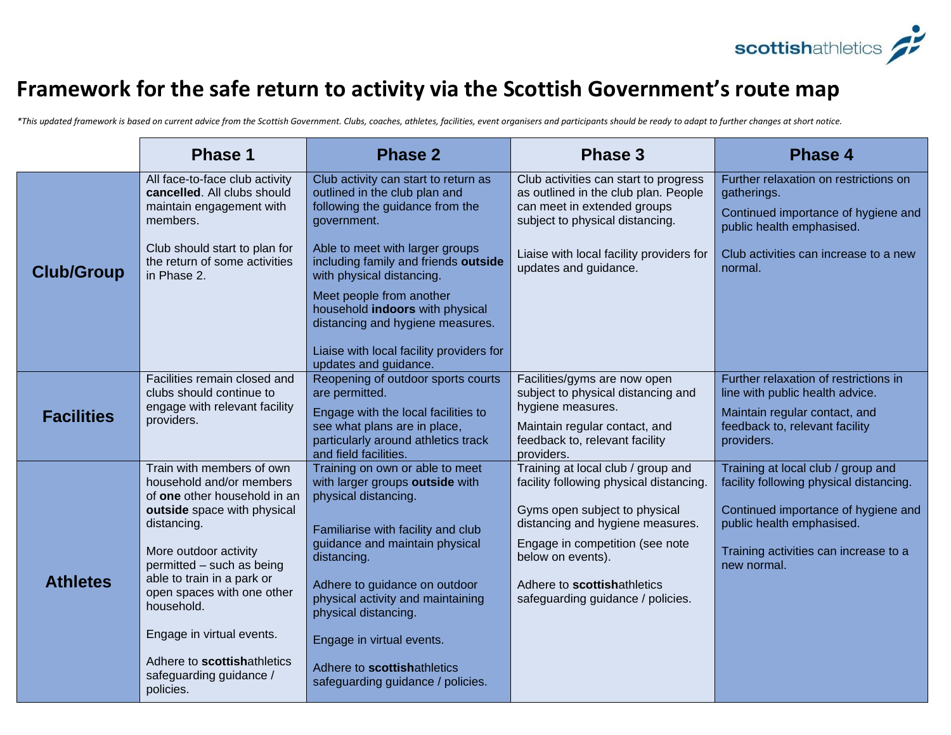

## **Framework for the safe return to activity via the Scottish Government's route map**

*\*This updated framework is based on current advice from the Scottish Government. Clubs, coaches, athletes, facilities, event organisers and participants should be ready to adapt to further changes at short notice.*

|                   | <b>Phase 1</b>                                                                                        | <b>Phase 2</b>                                                                                                                      | <b>Phase 3</b>                                                                                                                                  | <b>Phase 4</b>                                                                                                           |
|-------------------|-------------------------------------------------------------------------------------------------------|-------------------------------------------------------------------------------------------------------------------------------------|-------------------------------------------------------------------------------------------------------------------------------------------------|--------------------------------------------------------------------------------------------------------------------------|
|                   | All face-to-face club activity<br>cancelled. All clubs should<br>maintain engagement with<br>members. | Club activity can start to return as<br>outlined in the club plan and<br>following the guidance from the<br>government.             | Club activities can start to progress<br>as outlined in the club plan. People<br>can meet in extended groups<br>subject to physical distancing. | Further relaxation on restrictions on<br>gatherings.<br>Continued importance of hygiene and<br>public health emphasised. |
| <b>Club/Group</b> | Club should start to plan for<br>the return of some activities<br>in Phase 2.                         | Able to meet with larger groups<br>including family and friends outside<br>with physical distancing.                                | Liaise with local facility providers for<br>updates and guidance.                                                                               | Club activities can increase to a new<br>normal.                                                                         |
|                   |                                                                                                       | Meet people from another<br>household indoors with physical<br>distancing and hygiene measures.                                     |                                                                                                                                                 |                                                                                                                          |
|                   |                                                                                                       | Liaise with local facility providers for<br>updates and guidance.                                                                   |                                                                                                                                                 |                                                                                                                          |
|                   | Facilities remain closed and<br>clubs should continue to                                              | Reopening of outdoor sports courts<br>are permitted.                                                                                | Facilities/gyms are now open<br>subject to physical distancing and                                                                              | Further relaxation of restrictions in<br>line with public health advice.                                                 |
| <b>Facilities</b> | engage with relevant facility<br>providers.                                                           | Engage with the local facilities to<br>see what plans are in place,<br>particularly around athletics track<br>and field facilities. | hygiene measures.<br>Maintain regular contact, and<br>feedback to, relevant facility<br>providers.                                              | Maintain regular contact, and<br>feedback to, relevant facility<br>providers.                                            |
|                   | Train with members of own<br>household and/or members                                                 | Training on own or able to meet<br>with larger groups outside with                                                                  | Training at local club / group and<br>facility following physical distancing.                                                                   | Training at local club / group and<br>facility following physical distancing.                                            |
|                   | of one other household in an<br>outside space with physical<br>distancing.                            | physical distancing.<br>Familiarise with facility and club                                                                          | Gyms open subject to physical<br>distancing and hygiene measures.                                                                               | Continued importance of hygiene and<br>public health emphasised.                                                         |
| <b>Athletes</b>   | More outdoor activity<br>permitted - such as being                                                    | guidance and maintain physical<br>distancing.                                                                                       | Engage in competition (see note<br>below on events).                                                                                            | Training activities can increase to a<br>new normal.                                                                     |
|                   | able to train in a park or<br>open spaces with one other<br>household.                                | Adhere to guidance on outdoor<br>physical activity and maintaining<br>physical distancing.                                          | Adhere to scottishathletics<br>safeguarding guidance / policies.                                                                                |                                                                                                                          |
|                   | Engage in virtual events.                                                                             | Engage in virtual events.                                                                                                           |                                                                                                                                                 |                                                                                                                          |
|                   | Adhere to scottishathletics<br>safeguarding guidance /<br>policies.                                   | Adhere to scottishathletics<br>safeguarding guidance / policies.                                                                    |                                                                                                                                                 |                                                                                                                          |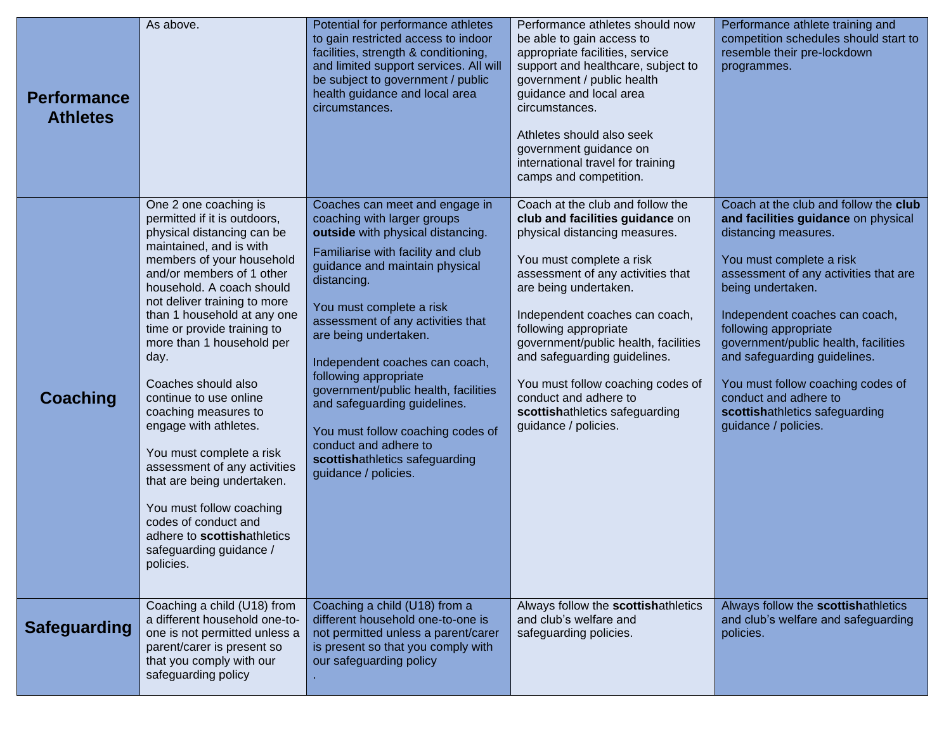| <b>Performance</b><br><b>Athletes</b> | As above.                                                                                                                                                                                                                                                                                                                                                                                                                                                                                                                                                                                                                                                       | Potential for performance athletes<br>to gain restricted access to indoor<br>facilities, strength & conditioning,<br>and limited support services. All will<br>be subject to government / public<br>health guidance and local area<br>circumstances.                                                                                                                                                                                                                                                                                           | Performance athletes should now<br>be able to gain access to<br>appropriate facilities, service<br>support and healthcare, subject to<br>government / public health<br>guidance and local area<br>circumstances.<br>Athletes should also seek<br>government guidance on<br>international travel for training<br>camps and competition.                                                                                                                    | Performance athlete training and<br>competition schedules should start to<br>resemble their pre-lockdown<br>programmes.                                                                                                                                                                                                                                                                                                                                   |
|---------------------------------------|-----------------------------------------------------------------------------------------------------------------------------------------------------------------------------------------------------------------------------------------------------------------------------------------------------------------------------------------------------------------------------------------------------------------------------------------------------------------------------------------------------------------------------------------------------------------------------------------------------------------------------------------------------------------|------------------------------------------------------------------------------------------------------------------------------------------------------------------------------------------------------------------------------------------------------------------------------------------------------------------------------------------------------------------------------------------------------------------------------------------------------------------------------------------------------------------------------------------------|-----------------------------------------------------------------------------------------------------------------------------------------------------------------------------------------------------------------------------------------------------------------------------------------------------------------------------------------------------------------------------------------------------------------------------------------------------------|-----------------------------------------------------------------------------------------------------------------------------------------------------------------------------------------------------------------------------------------------------------------------------------------------------------------------------------------------------------------------------------------------------------------------------------------------------------|
| <b>Coaching</b>                       | One 2 one coaching is<br>permitted if it is outdoors,<br>physical distancing can be<br>maintained, and is with<br>members of your household<br>and/or members of 1 other<br>household. A coach should<br>not deliver training to more<br>than 1 household at any one<br>time or provide training to<br>more than 1 household per<br>day.<br>Coaches should also<br>continue to use online<br>coaching measures to<br>engage with athletes.<br>You must complete a risk<br>assessment of any activities<br>that are being undertaken.<br>You must follow coaching<br>codes of conduct and<br>adhere to scottishathletics<br>safeguarding guidance /<br>policies. | Coaches can meet and engage in<br>coaching with larger groups<br>outside with physical distancing.<br>Familiarise with facility and club<br>guidance and maintain physical<br>distancing.<br>You must complete a risk<br>assessment of any activities that<br>are being undertaken.<br>Independent coaches can coach,<br>following appropriate<br>government/public health, facilities<br>and safeguarding guidelines.<br>You must follow coaching codes of<br>conduct and adhere to<br>scottishathletics safeguarding<br>guidance / policies. | Coach at the club and follow the<br>club and facilities guidance on<br>physical distancing measures.<br>You must complete a risk<br>assessment of any activities that<br>are being undertaken.<br>Independent coaches can coach,<br>following appropriate<br>government/public health, facilities<br>and safeguarding guidelines.<br>You must follow coaching codes of<br>conduct and adhere to<br>scottishathletics safeguarding<br>guidance / policies. | Coach at the club and follow the club<br>and facilities guidance on physical<br>distancing measures.<br>You must complete a risk<br>assessment of any activities that are<br>being undertaken.<br>Independent coaches can coach,<br>following appropriate<br>government/public health, facilities<br>and safeguarding guidelines.<br>You must follow coaching codes of<br>conduct and adhere to<br>scottishathletics safeguarding<br>guidance / policies. |
| <b>Safeguarding</b>                   | Coaching a child (U18) from<br>a different household one-to-<br>one is not permitted unless a<br>parent/carer is present so<br>that you comply with our<br>safeguarding policy                                                                                                                                                                                                                                                                                                                                                                                                                                                                                  | Coaching a child (U18) from a<br>different household one-to-one is<br>not permitted unless a parent/carer<br>is present so that you comply with<br>our safeguarding policy                                                                                                                                                                                                                                                                                                                                                                     | Always follow the scottishathletics<br>and club's welfare and<br>safeguarding policies.                                                                                                                                                                                                                                                                                                                                                                   | Always follow the scottishathletics<br>and club's welfare and safeguarding<br>policies.                                                                                                                                                                                                                                                                                                                                                                   |